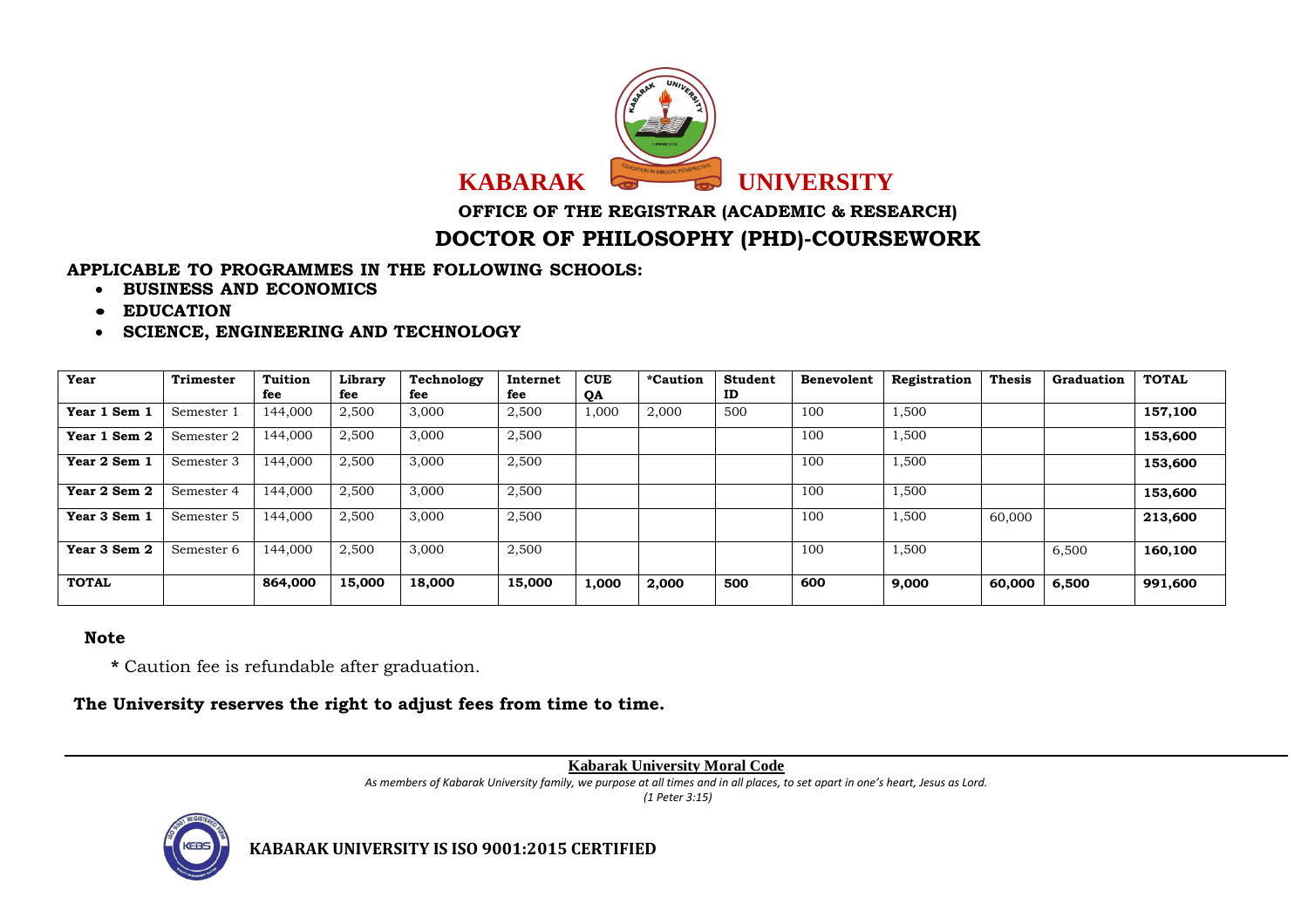

**OFFICE OF THE REGISTRAR (ACADEMIC & RESEARCH)**

## **DOCTOR OF PHILOSOPHY (PHD)-COURSEWORK**

## **APPLICABLE TO PROGRAMMES IN THE FOLLOWING SCHOOLS:**

- **BUSINESS AND ECONOMICS**
- **EDUCATION**
- **SCIENCE, ENGINEERING AND TECHNOLOGY**

| Year         | <b>Trimester</b> | <b>Tuition</b><br>fee | Library<br>fee | Technology<br>fee | Internet<br>fee | <b>CUE</b><br><b>OA</b> | <i>*Caution</i> | <b>Student</b><br>ID | <b>Benevolent</b> | Registration | <b>Thesis</b> | Graduation | <b>TOTAL</b> |
|--------------|------------------|-----------------------|----------------|-------------------|-----------------|-------------------------|-----------------|----------------------|-------------------|--------------|---------------|------------|--------------|
| Year 1 Sem 1 | Semester 1       | 144.000               | 2,500          | 3,000             | 2,500           | 1,000                   | 2,000           | 500                  | 100               | 1,500        |               |            | 157,100      |
| Year 1 Sem 2 | Semester 2       | 144,000               | 2,500          | 3,000             | 2,500           |                         |                 |                      | 100               | 1,500        |               |            | 153,600      |
| Year 2 Sem 1 | Semester 3       | 144,000               | 2,500          | 3,000             | 2,500           |                         |                 |                      | 100               | 1,500        |               |            | 153,600      |
| Year 2 Sem 2 | Semester 4       | 144.000               | 2,500          | 3,000             | 2,500           |                         |                 |                      | 100               | 1,500        |               |            | 153,600      |
| Year 3 Sem 1 | Semester 5       | 144,000               | 2,500          | 3,000             | 2,500           |                         |                 |                      | 100               | 1,500        | 60,000        |            | 213,600      |
| Year 3 Sem 2 | Semester 6       | 144,000               | 2,500          | 3,000             | 2,500           |                         |                 |                      | 100               | 1,500        |               | 6,500      | 160,100      |
| <b>TOTAL</b> |                  | 864,000               | 15,000         | 18,000            | 15,000          | 1,000                   | 2,000           | 500                  | 600               | 9,000        | 60,000        | 6,500      | 991,600      |

## **Note**

**\*** Caution fee is refundable after graduation.

**The University reserves the right to adjust fees from time to time.**

## **Kabarak University Moral Code**

*As members of Kabarak University family, we purpose at all times and in all places, to set apart in one's heart, Jesus as Lord.* 

*(1 Peter 3:15)*



**KABARAK UNIVERSITY IS ISO 9001:2015 CERTIFIED**